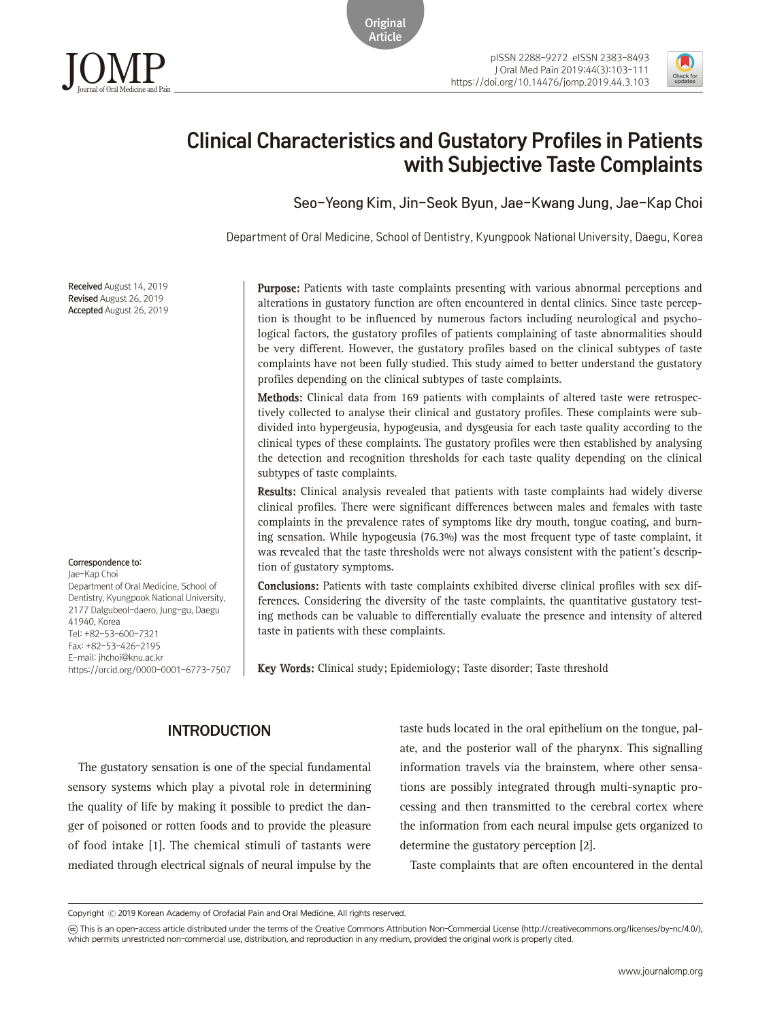**Original** Article



# Clinical Characteristics and Gustatory Profiles in Patients with Subjective Taste Complaints

Seo-Yeong Kim, Jin-Seok Byun, Jae-Kwang Jung, Jae-Kap Choi

Department of Oral Medicine, School of Dentistry, Kyungpook National University, Daegu, Korea

Received August 14, 2019 Revised August 26, 2019 Accepted August 26, 2019

JOMPJournal of Oral Medicine and Pain

Correspondence to: Jae-Kap Choi

Department of Oral Medicine, School of Dentistry, Kyungpook National University, 2177 Dalgubeol-daero, Jung-gu, Daegu 41940, Korea Tel: +82-53-600-7321 Fax: +82-53-426-2195 E-mail: jhchoi@knu.ac.kr https://orcid.org/0000-0001-6773-7507 **Purpose:** Patients with taste complaints presenting with various abnormal perceptions and alterations in gustatory function are often encountered in dental clinics. Since taste perception is thought to be influenced by numerous factors including neurological and psychological factors, the gustatory profiles of patients complaining of taste abnormalities should be very different. However, the gustatory profiles based on the clinical subtypes of taste complaints have not been fully studied. This study aimed to better understand the gustatory profiles depending on the clinical subtypes of taste complaints.

**Methods:** Clinical data from 169 patients with complaints of altered taste were retrospectively collected to analyse their clinical and gustatory profiles. These complaints were subdivided into hypergeusia, hypogeusia, and dysgeusia for each taste quality according to the clinical types of these complaints. The gustatory profiles were then established by analysing the detection and recognition thresholds for each taste quality depending on the clinical subtypes of taste complaints.

**Results:** Clinical analysis revealed that patients with taste complaints had widely diverse clinical profiles. There were significant differences between males and females with taste complaints in the prevalence rates of symptoms like dry mouth, tongue coating, and burning sensation. While hypogeusia (76.3%) was the most frequent type of taste complaint, it was revealed that the taste thresholds were not always consistent with the patient's description of gustatory symptoms.

**Conclusions:** Patients with taste complaints exhibited diverse clinical profiles with sex differences. Considering the diversity of the taste complaints, the quantitative gustatory testing methods can be valuable to differentially evaluate the presence and intensity of altered taste in patients with these complaints.

**Key Words:** Clinical study; Epidemiology; Taste disorder; Taste threshold

## INTRODUCTION

The gustatory sensation is one of the special fundamental sensory systems which play a pivotal role in determining the quality of life by making it possible to predict the danger of poisoned or rotten foods and to provide the pleasure of food intake [1]. The chemical stimuli of tastants were mediated through electrical signals of neural impulse by the

taste buds located in the oral epithelium on the tongue, palate, and the posterior wall of the pharynx. This signalling information travels via the brainstem, where other sensations are possibly integrated through multi-synaptic processing and then transmitted to the cerebral cortex where the information from each neural impulse gets organized to determine the gustatory perception [2].

Taste complaints that are often encountered in the dental

Copyright Ⓒ 2019 Korean Academy of Orofacial Pain and Oral Medicine. All rights reserved.

CC This is an open-access article distributed under the terms of the Creative Commons Attribution Non-Commercial License (http://creativecommons.org/licenses/by-nc/4.0/), which permits unrestricted non-commercial use, distribution, and reproduction in any medium, provided the original work is properly cited.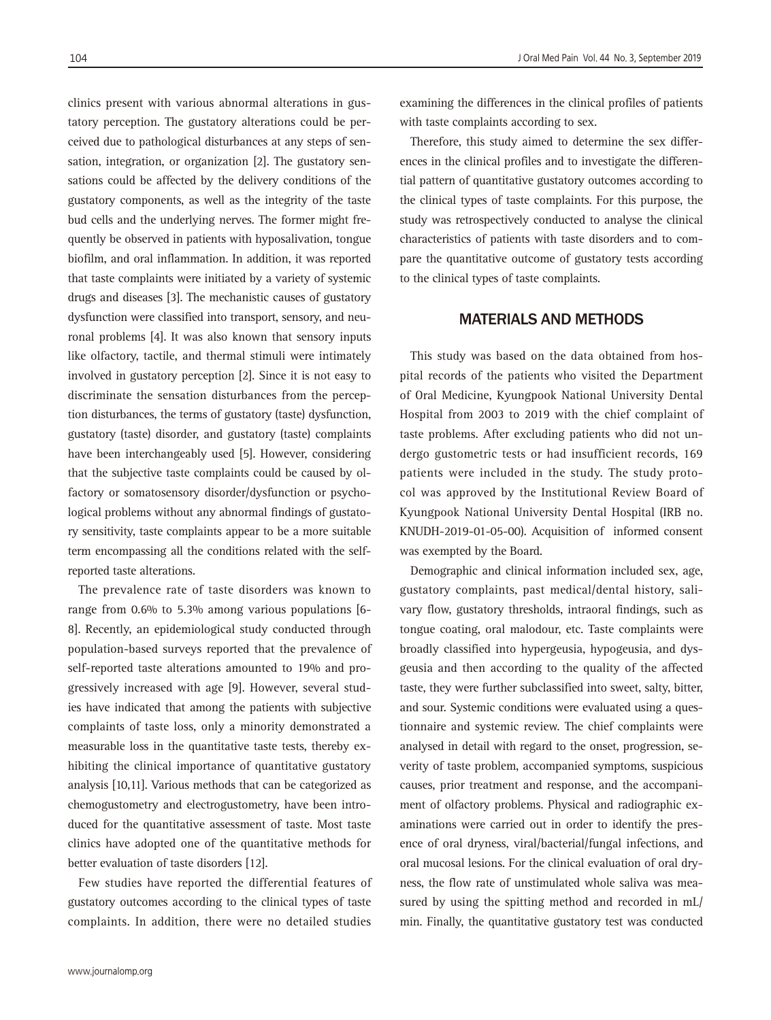clinics present with various abnormal alterations in gustatory perception. The gustatory alterations could be perceived due to pathological disturbances at any steps of sensation, integration, or organization [2]. The gustatory sensations could be affected by the delivery conditions of the gustatory components, as well as the integrity of the taste bud cells and the underlying nerves. The former might frequently be observed in patients with hyposalivation, tongue biofilm, and oral inflammation. In addition, it was reported that taste complaints were initiated by a variety of systemic drugs and diseases [3]. The mechanistic causes of gustatory dysfunction were classified into transport, sensory, and neuronal problems [4]. It was also known that sensory inputs like olfactory, tactile, and thermal stimuli were intimately involved in gustatory perception [2]. Since it is not easy to discriminate the sensation disturbances from the perception disturbances, the terms of gustatory (taste) dysfunction, gustatory (taste) disorder, and gustatory (taste) complaints have been interchangeably used [5]. However, considering that the subjective taste complaints could be caused by olfactory or somatosensory disorder/dysfunction or psychological problems without any abnormal findings of gustatory sensitivity, taste complaints appear to be a more suitable term encompassing all the conditions related with the selfreported taste alterations.

The prevalence rate of taste disorders was known to range from 0.6% to 5.3% among various populations [6- 8]. Recently, an epidemiological study conducted through population-based surveys reported that the prevalence of self-reported taste alterations amounted to 19% and progressively increased with age [9]. However, several studies have indicated that among the patients with subjective complaints of taste loss, only a minority demonstrated a measurable loss in the quantitative taste tests, thereby exhibiting the clinical importance of quantitative gustatory analysis [10,11]. Various methods that can be categorized as chemogustometry and electrogustometry, have been introduced for the quantitative assessment of taste. Most taste clinics have adopted one of the quantitative methods for better evaluation of taste disorders [12].

Few studies have reported the differential features of gustatory outcomes according to the clinical types of taste complaints. In addition, there were no detailed studies

examining the differences in the clinical profiles of patients with taste complaints according to sex.

Therefore, this study aimed to determine the sex differences in the clinical profiles and to investigate the differential pattern of quantitative gustatory outcomes according to the clinical types of taste complaints. For this purpose, the study was retrospectively conducted to analyse the clinical characteristics of patients with taste disorders and to compare the quantitative outcome of gustatory tests according to the clinical types of taste complaints.

#### MATERIALS AND METHODS

This study was based on the data obtained from hospital records of the patients who visited the Department of Oral Medicine, Kyungpook National University Dental Hospital from 2003 to 2019 with the chief complaint of taste problems. After excluding patients who did not undergo gustometric tests or had insufficient records, 169 patients were included in the study. The study protocol was approved by the Institutional Review Board of Kyungpook National University Dental Hospital (IRB no. KNUDH-2019-01-05-00). Acquisition of informed consent was exempted by the Board.

Demographic and clinical information included sex, age, gustatory complaints, past medical/dental history, salivary flow, gustatory thresholds, intraoral findings, such as tongue coating, oral malodour, etc. Taste complaints were broadly classified into hypergeusia, hypogeusia, and dysgeusia and then according to the quality of the affected taste, they were further subclassified into sweet, salty, bitter, and sour. Systemic conditions were evaluated using a questionnaire and systemic review. The chief complaints were analysed in detail with regard to the onset, progression, severity of taste problem, accompanied symptoms, suspicious causes, prior treatment and response, and the accompaniment of olfactory problems. Physical and radiographic examinations were carried out in order to identify the presence of oral dryness, viral/bacterial/fungal infections, and oral mucosal lesions. For the clinical evaluation of oral dryness, the flow rate of unstimulated whole saliva was measured by using the spitting method and recorded in mL/ min. Finally, the quantitative gustatory test was conducted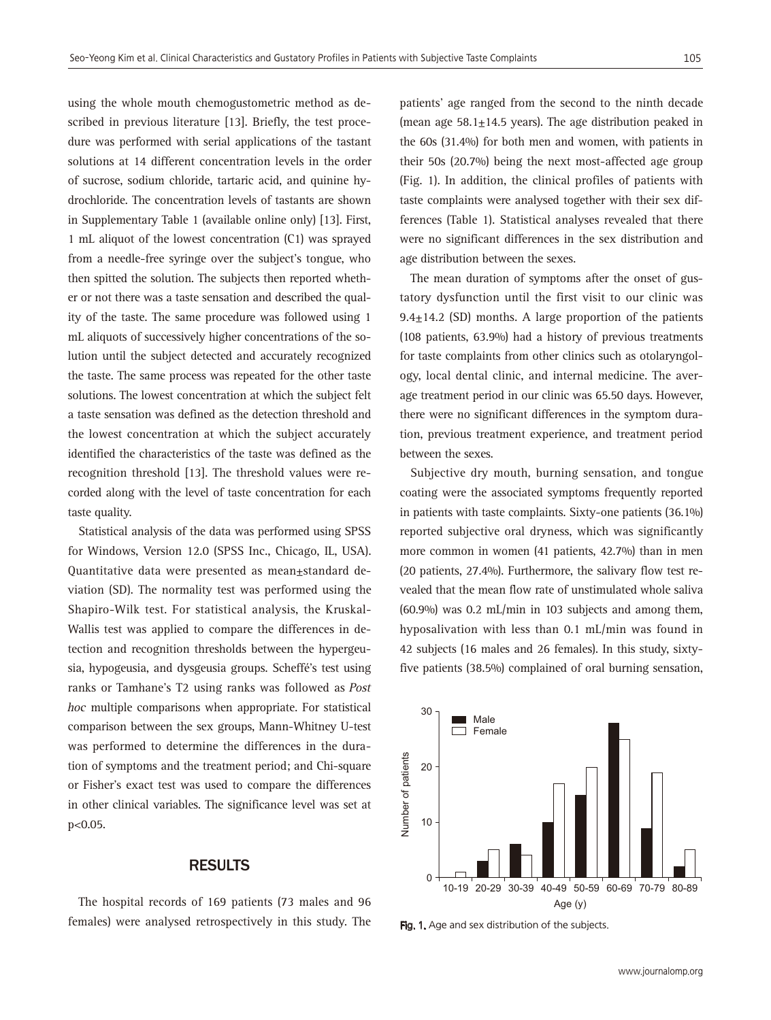using the whole mouth chemogustometric method as described in previous literature [13]. Briefly, the test procedure was performed with serial applications of the tastant solutions at 14 different concentration levels in the order of sucrose, sodium chloride, tartaric acid, and quinine hydrochloride. The concentration levels of tastants are shown in Supplementary Table 1 (available online only) [13]. First, 1 mL aliquot of the lowest concentration (C1) was sprayed from a needle-free syringe over the subject's tongue, who then spitted the solution. The subjects then reported whether or not there was a taste sensation and described the quality of the taste. The same procedure was followed using 1 mL aliquots of successively higher concentrations of the solution until the subject detected and accurately recognized the taste. The same process was repeated for the other taste solutions. The lowest concentration at which the subject felt a taste sensation was defined as the detection threshold and the lowest concentration at which the subject accurately identified the characteristics of the taste was defined as the recognition threshold [13]. The threshold values were recorded along with the level of taste concentration for each taste quality.

Statistical analysis of the data was performed using SPSS for Windows, Version 12.0 (SPSS Inc., Chicago, IL, USA). Quantitative data were presented as mean±standard deviation (SD). The normality test was performed using the Shapiro-Wilk test. For statistical analysis, the Kruskal-Wallis test was applied to compare the differences in detection and recognition thresholds between the hypergeusia, hypogeusia, and dysgeusia groups. Scheffé's test using ranks or Tamhane's T2 using ranks was followed as Post hoc multiple comparisons when appropriate. For statistical comparison between the sex groups, Mann-Whitney U-test was performed to determine the differences in the duration of symptoms and the treatment period; and Chi-square or Fisher's exact test was used to compare the differences in other clinical variables. The significance level was set at p<0.05.

## RESULTS

The hospital records of 169 patients (73 males and 96 females) were analysed retrospectively in this study. The patients' age ranged from the second to the ninth decade (mean age  $58.1 \pm 14.5$  years). The age distribution peaked in the 60s (31.4%) for both men and women, with patients in their 50s (20.7%) being the next most-affected age group (Fig. 1). In addition, the clinical profiles of patients with taste complaints were analysed together with their sex differences (Table 1). Statistical analyses revealed that there were no significant differences in the sex distribution and age distribution between the sexes.

The mean duration of symptoms after the onset of gustatory dysfunction until the first visit to our clinic was  $9.4 \pm 14.2$  (SD) months. A large proportion of the patients (108 patients, 63.9%) had a history of previous treatments for taste complaints from other clinics such as otolaryngology, local dental clinic, and internal medicine. The average treatment period in our clinic was 65.50 days. However, there were no significant differences in the symptom duration, previous treatment experience, and treatment period between the sexes.

Subjective dry mouth, burning sensation, and tongue coating were the associated symptoms frequently reported in patients with taste complaints. Sixty-one patients (36.1%) reported subjective oral dryness, which was significantly more common in women (41 patients, 42.7%) than in men (20 patients, 27.4%). Furthermore, the salivary flow test revealed that the mean flow rate of unstimulated whole saliva (60.9%) was 0.2 mL/min in 103 subjects and among them, hyposalivation with less than 0.1 mL/min was found in 42 subjects (16 males and 26 females). In this study, sixtyfive patients (38.5%) complained of oral burning sensation,



Fig. 1. Age and sex distribution of the subjects.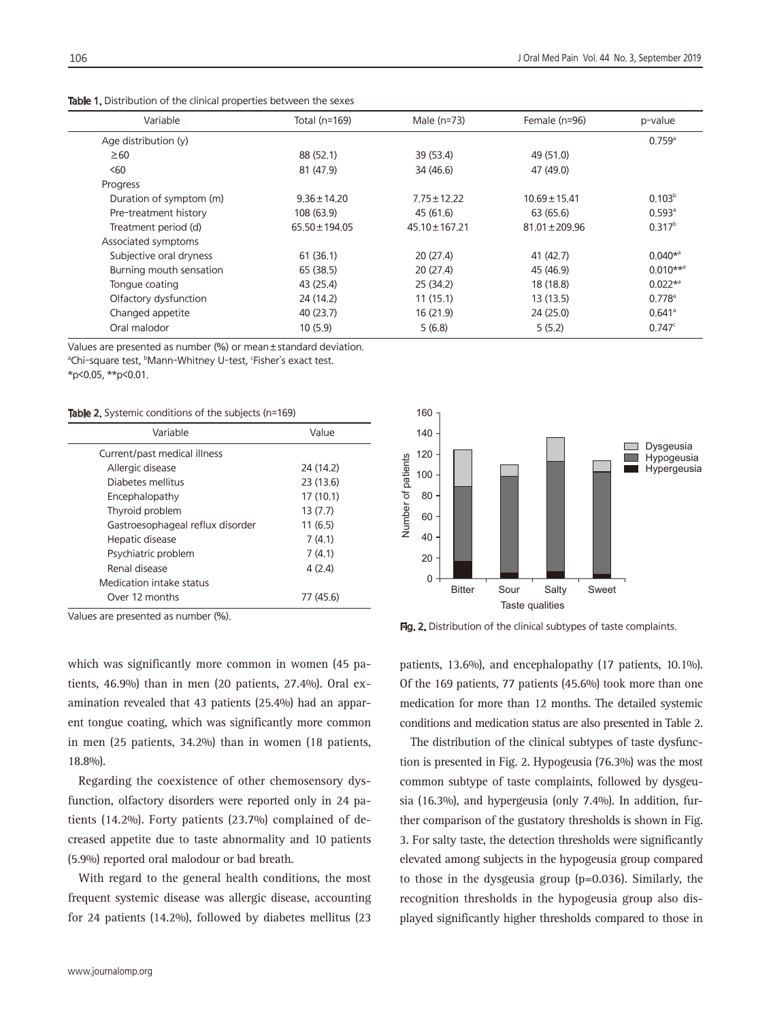| Variable ·              | Total (n=169)      | Male (n=73)        | Female (n=96)      | p-value                 |
|-------------------------|--------------------|--------------------|--------------------|-------------------------|
| Age distribution (y)    |                    |                    |                    | $0.759$ <sup>a</sup>    |
| $\geq 60$               | 88 (52.1)          | 39 (53.4)          | 49 (51.0)          |                         |
| < 60                    | 81 (47.9)          | 34 (46.6)          | 47 (49.0)          |                         |
| Progress                |                    |                    |                    |                         |
| Duration of symptom (m) | $9.36 \pm 14.20$   | $7.75 \pm 12.22$   | $10.69 \pm 15.41$  | 0.103 <sup>b</sup>      |
| Pre-treatment history   | 108 (63.9)         | 45 (61.6)          | 63 (65.6)          | $0.593^{\circ}$         |
| Treatment period (d)    | $65.50 \pm 194.05$ | $45.10 \pm 167.21$ | $81.01 \pm 209.96$ | $0.317^{b}$             |
| Associated symptoms     |                    |                    |                    |                         |
| Subjective oral dryness | 61(36.1)           | 20(27,4)           | 41 (42.7)          | $0.040^{*a}$            |
| Burning mouth sensation | 65 (38.5)          | 20(27,4)           | 45 (46.9)          | $0.010***$ <sup>a</sup> |
| Tonque coating          | 43 (25.4)          | 25(34,2)           | 18 (18.8)          | $0.022*$ <sup>a</sup>   |
| Olfactory dysfunction   | 24 (14.2)          | 11(15.1)           | 13(13.5)           | $0.778$ <sup>a</sup>    |
| Changed appetite        | 40(23,7)           | 16(21.9)           | 24(25,0)           | $0.641$ <sup>a</sup>    |
| Oral malodor            | 10(5.9)            | 5(6.8)             | 5(5.2)             | 0.747c                  |

Table 1. Distribution of the clinical properties between the sexes

Values are presented as number (%) or mean±standard deviation.

<sup>a</sup>Chi-square test, <sup>b</sup>Mann-Whitney U-test, 'Fisher's exact test.

\*p<0.05, \*\*p<0.01.

Table 2. Systemic conditions of the subjects (n=169)

| Variable                         | Value     |  |
|----------------------------------|-----------|--|
| Current/past medical illness     |           |  |
| Allergic disease                 | 24 (14.2) |  |
| Diabetes mellitus                | 23(13.6)  |  |
| Encephalopathy                   | 17(10,1)  |  |
| Thyroid problem                  | 13(7.7)   |  |
| Gastroesophageal reflux disorder | 11(6.5)   |  |
| Hepatic disease                  | 7(4.1)    |  |
| Psychiatric problem              | 7(4.1)    |  |
| Renal disease                    | 4(2,4)    |  |
| Medication intake status         |           |  |
| Over 12 months                   | 77 (45.6) |  |



Values are presented as number (%).

which was significantly more common in women (45 patients, 46.9%) than in men (20 patients, 27.4%). Oral examination revealed that 43 patients (25.4%) had an apparent tongue coating, which was significantly more common in men (25 patients, 34.2%) than in women (18 patients, 18.8%).

Regarding the coexistence of other chemosensory dysfunction, olfactory disorders were reported only in 24 patients (14.2%). Forty patients (23.7%) complained of decreased appetite due to taste abnormality and 10 patients (5.9%) reported oral malodour or bad breath.

With regard to the general health conditions, the most frequent systemic disease was allergic disease, accounting for 24 patients (14.2%), followed by diabetes mellitus (23

Fig. 2. Distribution of the clinical subtypes of taste complaints.

patients, 13.6%), and encephalopathy (17 patients, 10.1%). Of the 169 patients, 77 patients (45.6%) took more than one medication for more than 12 months. The detailed systemic conditions and medication status are also presented in Table 2.

The distribution of the clinical subtypes of taste dysfunction is presented in Fig. 2. Hypogeusia (76.3%) was the most common subtype of taste complaints, followed by dysgeusia (16.3%), and hypergeusia (only 7.4%). In addition, further comparison of the gustatory thresholds is shown in Fig. 3. For salty taste, the detection thresholds were significantly elevated among subjects in the hypogeusia group compared to those in the dysgeusia group (p=0.036). Similarly, the recognition thresholds in the hypogeusia group also displayed significantly higher thresholds compared to those in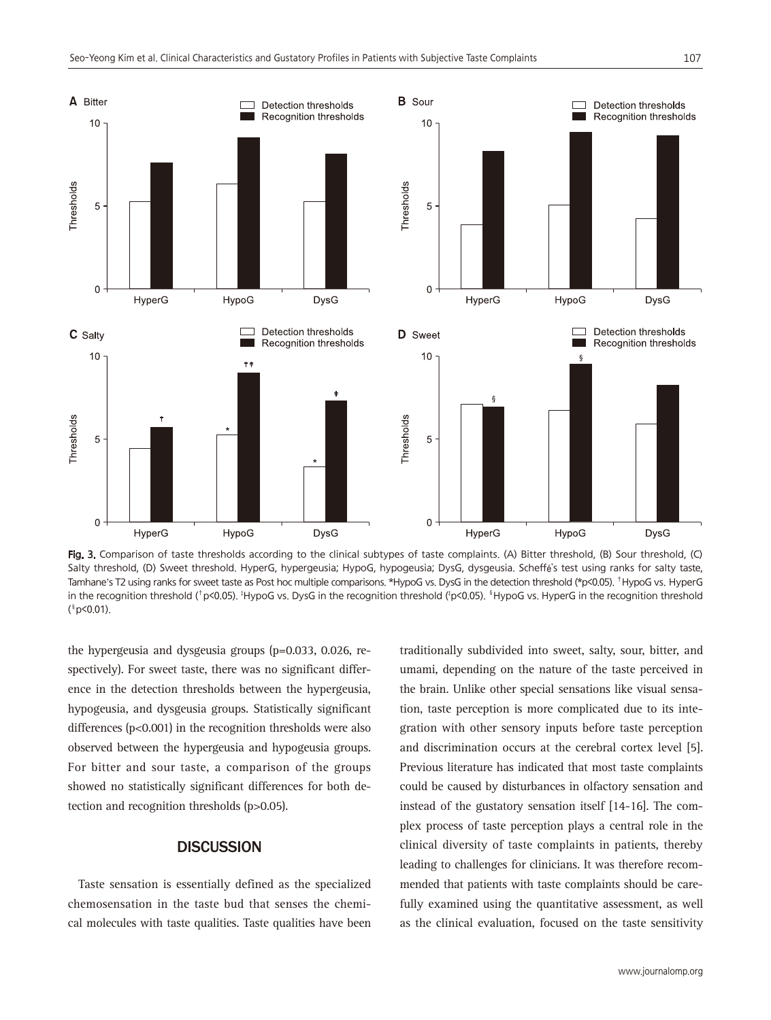

Fig. 3. Comparison of taste thresholds according to the clinical subtypes of taste complaints. (A) Bitter threshold, (B) Sour threshold, (C) Salty threshold, (D) Sweet threshold. HyperG, hypergeusia; HypoG, hypogeusia; DysG, dysgeusia. Scheffé's test using ranks for salty taste, Tamhane's T2 using ranks for sweet taste as Post hoc multiple comparisons. \*HypoG vs. DysG in the detection threshold (\*p<0.05). †HypoG vs. HyperG in the recognition threshold (<sup>†</sup>p<0.05). <sup>‡</sup>HypoG vs. DysG in the recognition threshold (<sup>†</sup>p<0.05). <sup>\$</sup>HypoG vs. HyperG in the recognition threshold ( §p<0.01).

the hypergeusia and dysgeusia groups (p=0.033, 0.026, respectively). For sweet taste, there was no significant difference in the detection thresholds between the hypergeusia, hypogeusia, and dysgeusia groups. Statistically significant differences (p<0.001) in the recognition thresholds were also observed between the hypergeusia and hypogeusia groups. For bitter and sour taste, a comparison of the groups showed no statistically significant differences for both detection and recognition thresholds (p>0.05).

#### **DISCUSSION**

Taste sensation is essentially defined as the specialized chemosensation in the taste bud that senses the chemical molecules with taste qualities. Taste qualities have been traditionally subdivided into sweet, salty, sour, bitter, and umami, depending on the nature of the taste perceived in the brain. Unlike other special sensations like visual sensation, taste perception is more complicated due to its integration with other sensory inputs before taste perception and discrimination occurs at the cerebral cortex level [5]. Previous literature has indicated that most taste complaints could be caused by disturbances in olfactory sensation and instead of the gustatory sensation itself [14-16]. The complex process of taste perception plays a central role in the clinical diversity of taste complaints in patients, thereby leading to challenges for clinicians. It was therefore recommended that patients with taste complaints should be carefully examined using the quantitative assessment, as well as the clinical evaluation, focused on the taste sensitivity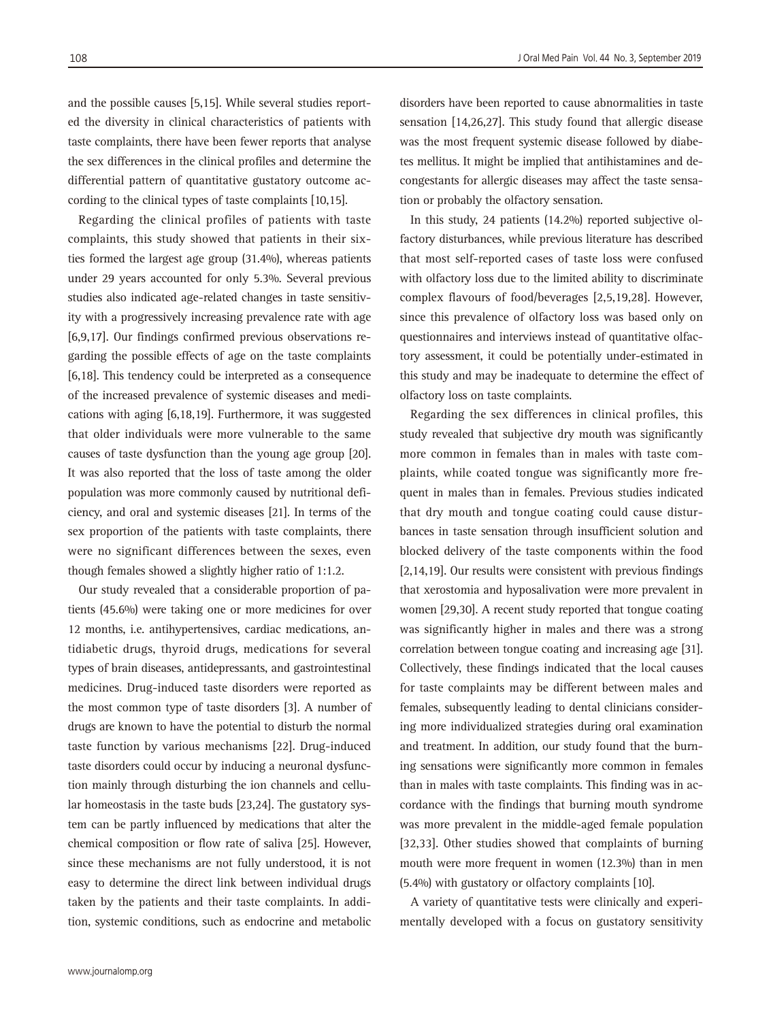and the possible causes [5,15]. While several studies reported the diversity in clinical characteristics of patients with taste complaints, there have been fewer reports that analyse the sex differences in the clinical profiles and determine the differential pattern of quantitative gustatory outcome according to the clinical types of taste complaints [10,15].

Regarding the clinical profiles of patients with taste complaints, this study showed that patients in their sixties formed the largest age group (31.4%), whereas patients under 29 years accounted for only 5.3%. Several previous studies also indicated age-related changes in taste sensitivity with a progressively increasing prevalence rate with age [6,9,17]. Our findings confirmed previous observations regarding the possible effects of age on the taste complaints [6,18]. This tendency could be interpreted as a consequence of the increased prevalence of systemic diseases and medications with aging [6,18,19]. Furthermore, it was suggested that older individuals were more vulnerable to the same causes of taste dysfunction than the young age group [20]. It was also reported that the loss of taste among the older population was more commonly caused by nutritional deficiency, and oral and systemic diseases [21]. In terms of the sex proportion of the patients with taste complaints, there were no significant differences between the sexes, even though females showed a slightly higher ratio of 1:1.2.

Our study revealed that a considerable proportion of patients (45.6%) were taking one or more medicines for over 12 months, i.e. antihypertensives, cardiac medications, antidiabetic drugs, thyroid drugs, medications for several types of brain diseases, antidepressants, and gastrointestinal medicines. Drug-induced taste disorders were reported as the most common type of taste disorders [3]. A number of drugs are known to have the potential to disturb the normal taste function by various mechanisms [22]. Drug-induced taste disorders could occur by inducing a neuronal dysfunction mainly through disturbing the ion channels and cellular homeostasis in the taste buds [23,24]. The gustatory system can be partly influenced by medications that alter the chemical composition or flow rate of saliva [25]. However, since these mechanisms are not fully understood, it is not easy to determine the direct link between individual drugs taken by the patients and their taste complaints. In addition, systemic conditions, such as endocrine and metabolic

disorders have been reported to cause abnormalities in taste sensation [14,26,27]. This study found that allergic disease was the most frequent systemic disease followed by diabetes mellitus. It might be implied that antihistamines and decongestants for allergic diseases may affect the taste sensa-

In this study, 24 patients (14.2%) reported subjective olfactory disturbances, while previous literature has described that most self-reported cases of taste loss were confused with olfactory loss due to the limited ability to discriminate complex flavours of food/beverages [2,5,19,28]. However, since this prevalence of olfactory loss was based only on questionnaires and interviews instead of quantitative olfactory assessment, it could be potentially under-estimated in this study and may be inadequate to determine the effect of olfactory loss on taste complaints.

tion or probably the olfactory sensation.

Regarding the sex differences in clinical profiles, this study revealed that subjective dry mouth was significantly more common in females than in males with taste complaints, while coated tongue was significantly more frequent in males than in females. Previous studies indicated that dry mouth and tongue coating could cause disturbances in taste sensation through insufficient solution and blocked delivery of the taste components within the food [2,14,19]. Our results were consistent with previous findings that xerostomia and hyposalivation were more prevalent in women [29,30]. A recent study reported that tongue coating was significantly higher in males and there was a strong correlation between tongue coating and increasing age [31]. Collectively, these findings indicated that the local causes for taste complaints may be different between males and females, subsequently leading to dental clinicians considering more individualized strategies during oral examination and treatment. In addition, our study found that the burning sensations were significantly more common in females than in males with taste complaints. This finding was in accordance with the findings that burning mouth syndrome was more prevalent in the middle-aged female population [32,33]. Other studies showed that complaints of burning mouth were more frequent in women (12.3%) than in men (5.4%) with gustatory or olfactory complaints [10].

A variety of quantitative tests were clinically and experimentally developed with a focus on gustatory sensitivity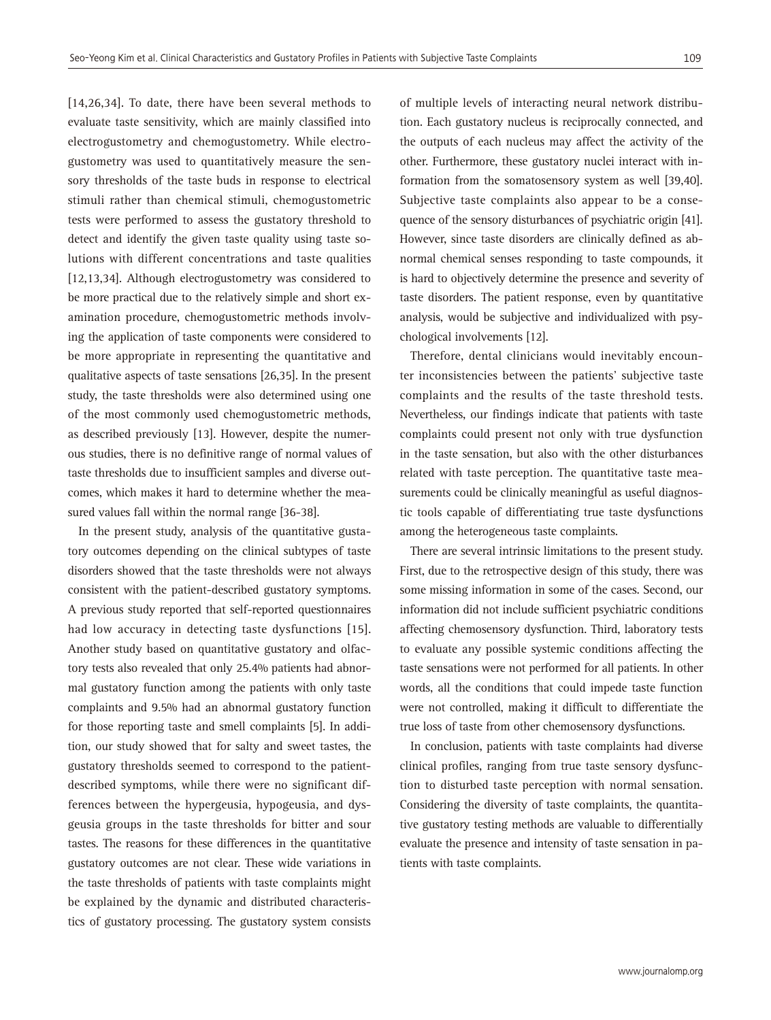[14,26,34]. To date, there have been several methods to evaluate taste sensitivity, which are mainly classified into electrogustometry and chemogustometry. While electrogustometry was used to quantitatively measure the sensory thresholds of the taste buds in response to electrical stimuli rather than chemical stimuli, chemogustometric tests were performed to assess the gustatory threshold to detect and identify the given taste quality using taste solutions with different concentrations and taste qualities [12,13,34]. Although electrogustometry was considered to be more practical due to the relatively simple and short examination procedure, chemogustometric methods involving the application of taste components were considered to be more appropriate in representing the quantitative and qualitative aspects of taste sensations [26,35]. In the present study, the taste thresholds were also determined using one of the most commonly used chemogustometric methods, as described previously [13]. However, despite the numerous studies, there is no definitive range of normal values of taste thresholds due to insufficient samples and diverse outcomes, which makes it hard to determine whether the measured values fall within the normal range [36-38].

In the present study, analysis of the quantitative gustatory outcomes depending on the clinical subtypes of taste disorders showed that the taste thresholds were not always consistent with the patient-described gustatory symptoms. A previous study reported that self-reported questionnaires had low accuracy in detecting taste dysfunctions [15]. Another study based on quantitative gustatory and olfactory tests also revealed that only 25.4% patients had abnormal gustatory function among the patients with only taste complaints and 9.5% had an abnormal gustatory function for those reporting taste and smell complaints [5]. In addition, our study showed that for salty and sweet tastes, the gustatory thresholds seemed to correspond to the patientdescribed symptoms, while there were no significant differences between the hypergeusia, hypogeusia, and dysgeusia groups in the taste thresholds for bitter and sour tastes. The reasons for these differences in the quantitative gustatory outcomes are not clear. These wide variations in the taste thresholds of patients with taste complaints might be explained by the dynamic and distributed characteristics of gustatory processing. The gustatory system consists

of multiple levels of interacting neural network distribution. Each gustatory nucleus is reciprocally connected, and the outputs of each nucleus may affect the activity of the other. Furthermore, these gustatory nuclei interact with information from the somatosensory system as well [39,40]. Subjective taste complaints also appear to be a consequence of the sensory disturbances of psychiatric origin [41]. However, since taste disorders are clinically defined as abnormal chemical senses responding to taste compounds, it is hard to objectively determine the presence and severity of taste disorders. The patient response, even by quantitative analysis, would be subjective and individualized with psychological involvements [12].

Therefore, dental clinicians would inevitably encounter inconsistencies between the patients' subjective taste complaints and the results of the taste threshold tests. Nevertheless, our findings indicate that patients with taste complaints could present not only with true dysfunction in the taste sensation, but also with the other disturbances related with taste perception. The quantitative taste measurements could be clinically meaningful as useful diagnostic tools capable of differentiating true taste dysfunctions among the heterogeneous taste complaints.

There are several intrinsic limitations to the present study. First, due to the retrospective design of this study, there was some missing information in some of the cases. Second, our information did not include sufficient psychiatric conditions affecting chemosensory dysfunction. Third, laboratory tests to evaluate any possible systemic conditions affecting the taste sensations were not performed for all patients. In other words, all the conditions that could impede taste function were not controlled, making it difficult to differentiate the true loss of taste from other chemosensory dysfunctions.

In conclusion, patients with taste complaints had diverse clinical profiles, ranging from true taste sensory dysfunction to disturbed taste perception with normal sensation. Considering the diversity of taste complaints, the quantitative gustatory testing methods are valuable to differentially evaluate the presence and intensity of taste sensation in patients with taste complaints.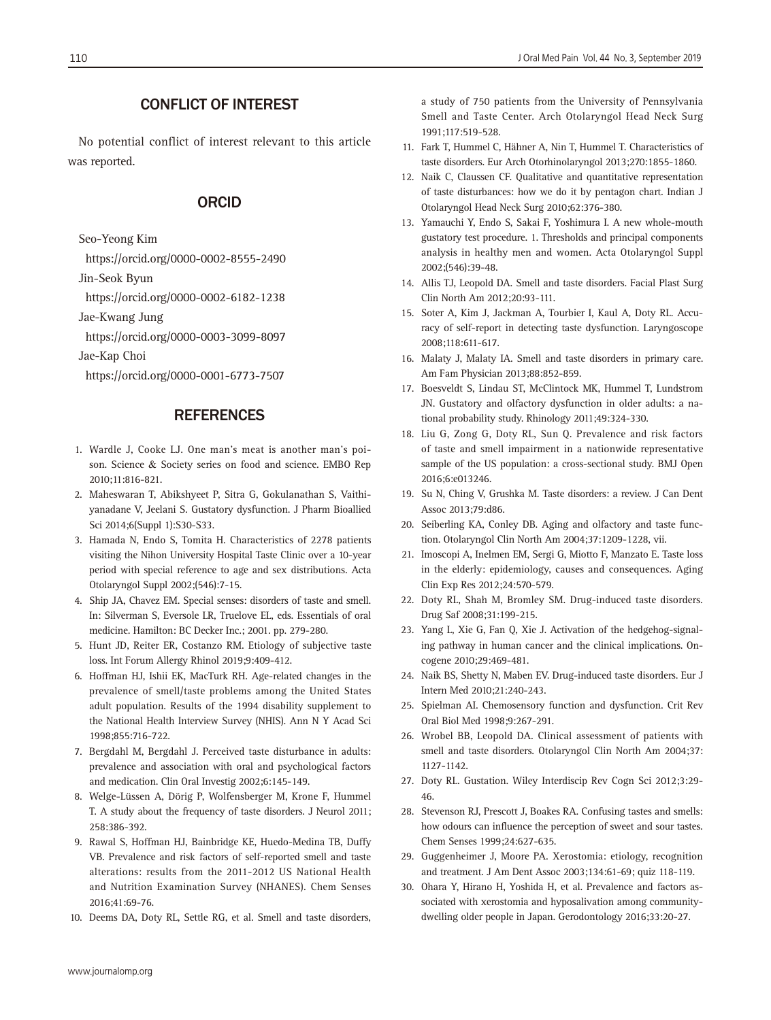### CONFLICT OF INTEREST

No potential conflict of interest relevant to this article was reported.

#### ORCID

Seo-Yeong Kim

https://orcid.org/0000-0002-8555-2490

Jin-Seok Byun

https://orcid.org/0000-0002-6182-1238

Jae-Kwang Jung

https://orcid.org/0000-0003-3099-8097

Jae-Kap Choi

https://orcid.org/0000-0001-6773-7507

#### **REFERENCES**

- 1. Wardle J, Cooke LJ. One man's meat is another man's poison. Science & Society series on food and science. EMBO Rep 2010;11:816-821.
- 2. Maheswaran T, Abikshyeet P, Sitra G, Gokulanathan S, Vaithiyanadane V, Jeelani S. Gustatory dysfunction. J Pharm Bioallied Sci 2014;6(Suppl 1):S30-S33.
- 3. Hamada N, Endo S, Tomita H. Characteristics of 2278 patients visiting the Nihon University Hospital Taste Clinic over a 10-year period with special reference to age and sex distributions. Acta Otolaryngol Suppl 2002;(546):7-15.
- 4. Ship JA, Chavez EM. Special senses: disorders of taste and smell. In: Silverman S, Eversole LR, Truelove EL, eds. Essentials of oral medicine. Hamilton: BC Decker Inc.; 2001. pp. 279-280.
- 5. Hunt JD, Reiter ER, Costanzo RM. Etiology of subjective taste loss. Int Forum Allergy Rhinol 2019;9:409-412.
- 6. Hoffman HJ, Ishii EK, MacTurk RH. Age-related changes in the prevalence of smell/taste problems among the United States adult population. Results of the 1994 disability supplement to the National Health Interview Survey (NHIS). Ann N Y Acad Sci 1998;855:716-722.
- 7. Bergdahl M, Bergdahl J. Perceived taste disturbance in adults: prevalence and association with oral and psychological factors and medication. Clin Oral Investig 2002;6:145-149.
- 8. Welge-Lüssen A, Dörig P, Wolfensberger M, Krone F, Hummel T. A study about the frequency of taste disorders. J Neurol 2011; 258:386-392.
- 9. Rawal S, Hoffman HJ, Bainbridge KE, Huedo-Medina TB, Duffy VB. Prevalence and risk factors of self-reported smell and taste alterations: results from the 2011-2012 US National Health and Nutrition Examination Survey (NHANES). Chem Senses 2016;41:69-76.
- 10. Deems DA, Doty RL, Settle RG, et al. Smell and taste disorders,

a study of 750 patients from the University of Pennsylvania Smell and Taste Center. Arch Otolaryngol Head Neck Surg 1991;117:519-528.

- 11. Fark T, Hummel C, Hähner A, Nin T, Hummel T. Characteristics of taste disorders. Eur Arch Otorhinolaryngol 2013;270:1855-1860.
- 12. Naik C, Claussen CF. Qualitative and quantitative representation of taste disturbances: how we do it by pentagon chart. Indian J Otolaryngol Head Neck Surg 2010;62:376-380.
- 13. Yamauchi Y, Endo S, Sakai F, Yoshimura I. A new whole-mouth gustatory test procedure. 1. Thresholds and principal components analysis in healthy men and women. Acta Otolaryngol Suppl 2002;(546):39-48.
- 14. Allis TJ, Leopold DA. Smell and taste disorders. Facial Plast Surg Clin North Am 2012;20:93-111.
- 15. Soter A, Kim J, Jackman A, Tourbier I, Kaul A, Doty RL. Accuracy of self-report in detecting taste dysfunction. Laryngoscope 2008;118:611-617.
- 16. Malaty J, Malaty IA. Smell and taste disorders in primary care. Am Fam Physician 2013;88:852-859.
- 17. Boesveldt S, Lindau ST, McClintock MK, Hummel T, Lundstrom JN. Gustatory and olfactory dysfunction in older adults: a national probability study. Rhinology 2011;49:324-330.
- 18. Liu G, Zong G, Doty RL, Sun Q. Prevalence and risk factors of taste and smell impairment in a nationwide representative sample of the US population: a cross-sectional study. BMJ Open 2016;6:e013246.
- 19. Su N, Ching V, Grushka M. Taste disorders: a review. J Can Dent Assoc 2013;79:d86.
- 20. Seiberling KA, Conley DB. Aging and olfactory and taste function. Otolaryngol Clin North Am 2004;37:1209-1228, vii.
- 21. Imoscopi A, Inelmen EM, Sergi G, Miotto F, Manzato E. Taste loss in the elderly: epidemiology, causes and consequences. Aging Clin Exp Res 2012;24:570-579.
- 22. Doty RL, Shah M, Bromley SM. Drug-induced taste disorders. Drug Saf 2008;31:199-215.
- 23. Yang L, Xie G, Fan Q, Xie J. Activation of the hedgehog-signaling pathway in human cancer and the clinical implications. Oncogene 2010;29:469-481.
- 24. Naik BS, Shetty N, Maben EV. Drug-induced taste disorders. Eur J Intern Med 2010;21:240-243.
- 25. Spielman AI. Chemosensory function and dysfunction. Crit Rev Oral Biol Med 1998;9:267-291.
- 26. Wrobel BB, Leopold DA. Clinical assessment of patients with smell and taste disorders. Otolaryngol Clin North Am 2004;37: 1127-1142.
- 27. Doty RL. Gustation. Wiley Interdiscip Rev Cogn Sci 2012;3:29- 46.
- 28. Stevenson RJ, Prescott J, Boakes RA. Confusing tastes and smells: how odours can influence the perception of sweet and sour tastes. Chem Senses 1999;24:627-635.
- 29. Guggenheimer J, Moore PA. Xerostomia: etiology, recognition and treatment. J Am Dent Assoc 2003;134:61-69; quiz 118-119.
- 30. Ohara Y, Hirano H, Yoshida H, et al. Prevalence and factors associated with xerostomia and hyposalivation among communitydwelling older people in Japan. Gerodontology 2016;33:20-27.